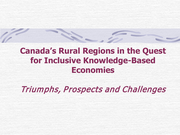# **Canada's Rural Regions in the Quest for Inclusive Knowledge-Based Economies**

Triumphs, Prospects and Challenges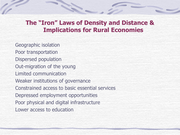### **The "Iron" Laws of Density and Distance & Implications for Rural Economies**

Geographic isolation Poor transportation Dispersed population Out-migration of the young Limited communication Weaker institutions of governance Constrained access to basic essential services Depressed employment opportunities Poor physical and digital infrastructure Lower access to education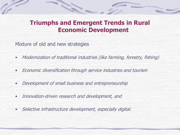### **Triumphs and Emergent Trends in Rural Economic Development**

Mixture of old and new strategies

- Modernization of traditional industries (like farming, forestry, fishing)
- Economic diversification through service industries and tourism
- Development of small business and entrepreneurship
- Innovation-driven research and development, and
- Selective infrastructure development, especially digital.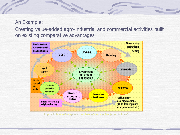### An Example: Creating value-added agro-industrial and commercial activities built on existing comparative advantages

H.



Figure 2. Innovation system from farmer's perspective (after Goldman\*)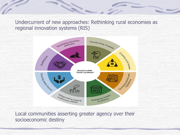#### Undercurrent of new approaches: Rethinking rural economies as regional innovation systems (RIS)

**SEP** 



Local communities asserting greater agency over their socioeconomic destiny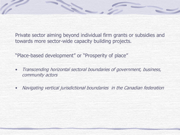Private sector aiming beyond individual firm grants or subsidies and towards more sector-wide capacity building projects.

"Place-based development" or "Prosperity of place"

- Transcending horizontal sectoral boundaries of government, business, community actors
- Navigating vertical jurisdictional boundaries in the Canadian federation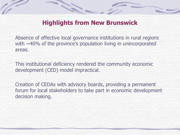

# **Highlights from New Brunswick**

Absence of effective local governance institutions in rural regions with  $\sim$ 40% of the province's population living in unincorporated areas.

This institutional deficiency rendered the community economic development (CED) model impractical.

Creation of CEDAs with advisory boards, providing a permanent forum for local stakeholders to take part in economic development decision making.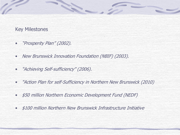#### Key Milestones

- "Prosperity Plan" (2002).
- New Brunswick Innovation Foundation (NBIF) (2003).

E.

- "Achieving Self-sufficiency" (2006).
- "Action Plan for self-Sufficiency in Northern New Brunswick (2010)
- \$50 million Northern Economic Development Fund (NEDF)
- \$100 million Northern New Brunswick Infrastructure Initiative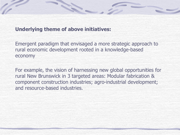

#### **Underlying theme of above initiatives:**

Emergent paradigm that envisaged a more strategic approach to rural economic development rooted in a knowledge-based economy

For example, the vision of harnessing new global opportunities for rural New Brunswick in 3 targeted areas: Modular fabrication & component construction industries; agro-industrial development; and resource-based industries.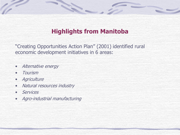# **Highlights from Manitoba**

"Creating Opportunities Action Plan" (2001) identified rural economic development initiatives in 6 areas:

12.

- Alternative energy
- Tourism
- Agriculture
- Natural resources industry
- **Services**
- Agro-industrial manufacturing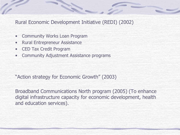Rural Economic Development Initiative (REDI) (2002)

- Community Works Loan Program
- Rural Entrepreneur Assistance
- CED Tax Credit Program
- Community Adjustment Assistance programs

"Action strategy for Economic Growth" (2003)

Broadband Communications North program (2005) (To enhance digital infrastructure capacity for economic development, health and education services).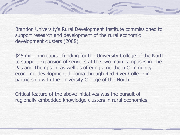Brandon University's Rural Development Institute commissioned to support research and development of the rural economic development clusters (2008).

\$45 million in capital funding for the University College of the North to support expansion of services at the two main campuses in The Pas and Thompson, as well as offering a northern Community economic development diploma through Red River College in partnership with the University College of the North.

Critical feature of the above initiatives was the pursuit of regionally-embedded knowledge clusters in rural economies.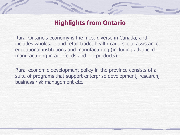

# **Highlights from Ontario**

Rural Ontario's economy is the most diverse in Canada, and includes wholesale and retail trade, health care, social assistance, educational institutions and manufacturing (including advanced manufacturing in agri-foods and bio-products).

Rural economic development policy in the province consists of a suite of programs that support enterprise development, research, business risk management etc.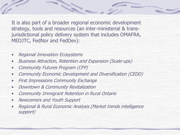It is also part of a broader regional economic development strategy, tools and resources (an inter-ministerial & transjurisdictional policy delivery system that includes OMAFRA, MEDJTC, FedNor and FedDev):

- Regional Innovation Ecosystems
- Business Attraction, Retention and Expansion (Scale-ups)
- Community Futures Program (CFP)
- Community Economic Development and Diversification (CEDD)
- **First Impressions Community Exchange**
- Downtown & Community Revitalization
- Community Immigrant Retention in Rural Ontario
- Newcomers and Youth Support
- Regional & Rural Economic Analysis (Market trends intelligence support)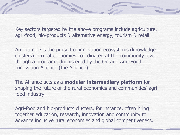Key sectors targeted by the above programs include agriculture, agri-food, bio-products & alternative energy, tourism & retail

E.

An example is the pursuit of innovation ecosystems (knowledge clusters) in rural economies coordinated at the community level though a program administered by the Ontario Agri-Food Innovation Alliance (the Alliance)

The Alliance acts as a **modular intermediary platform** for shaping the future of the rural economies and communities' agrifood industry.

Agri-food and bio-products clusters, for instance, often bring together education, research, innovation and community to advance inclusive rural economies and global competitiveness.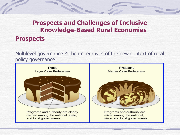# **Prospects and Challenges of Inclusive Knowledge-Based Rural Economies Prospects**

Multilevel governance & the imperatives of the new context of rural policy governance

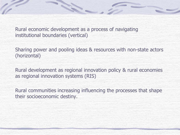Rural economic development as a process of navigating institutional boundaries (vertical)

E.

Sharing power and pooling ideas & resources with non-state actors (horizontal)

Rural development as regional innovation policy & rural economies as regional innovation systems (RIS)

Rural communities increasing influencing the processes that shape their socioeconomic destiny.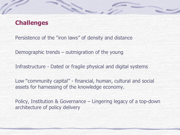### **Challenges**

Persistence of the "iron laws" of density and distance

M.

Demographic trends – outmigration of the young

Infrastructure - Dated or fragile physical and digital systems

Low "community capital" - financial, human, cultural and social assets for harnessing of the knowledge economy.

Policy, Institution & Governance – Lingering legacy of a top-down architecture of policy delivery